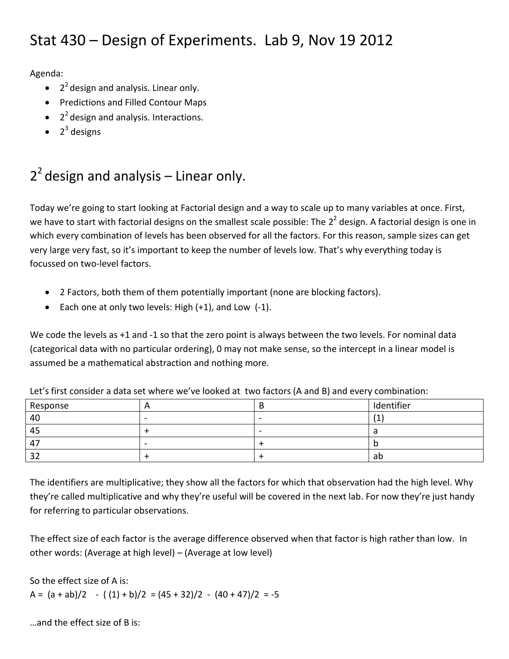### Stat 430 – Design of Experiments. Lab 9, Nov 19 2012

Agenda:

- $\bullet$   $2^2$  design and analysis. Linear only.
- Predictions and Filled Contour Maps
- $\bullet$   $2^2$  design and analysis. Interactions.
- $\bullet$  2<sup>3</sup> designs

# $2<sup>2</sup>$  design and analysis – Linear only.

Today we're going to start looking at Factorial design and a way to scale up to many variables at once. First, we have to start with factorial designs on the smallest scale possible: The 2<sup>2</sup> design. A factorial design is one in which every combination of levels has been observed for all the factors. For this reason, sample sizes can get very large very fast, so it's important to keep the number of levels low. That's why everything today is focussed on two-level factors.

- 2 Factors, both them of them potentially important (none are blocking factors).
- Each one at only two levels: High  $(+1)$ , and Low  $(-1)$ .

We code the levels as +1 and -1 so that the zero point is always between the two levels. For nominal data (categorical data with no particular ordering), 0 may not make sense, so the intercept in a linear model is assumed be a mathematical abstraction and nothing more.

| Response   |                          | Identifier |
|------------|--------------------------|------------|
| 40         | $\overline{\phantom{0}}$ |            |
| 45         |                          |            |
| 47         | $\overline{\phantom{0}}$ |            |
| າ າ<br>ے ر |                          | ab         |

Let's first consider a data set where we've looked at two factors (A and B) and every combination:

The identifiers are multiplicative; they show all the factors for which that observation had the high level. Why they're called multiplicative and why they're useful will be covered in the next lab. For now they're just handy for referring to particular observations.

The effect size of each factor is the average difference observed when that factor is high rather than low. In other words: (Average at high level) – (Average at low level)

So the effect size of A is: A =  $(a + ab)/2$  -  $((1) + b)/2$  =  $(45 + 32)/2$  -  $(40 + 47)/2$  = -5

…and the effect size of B is: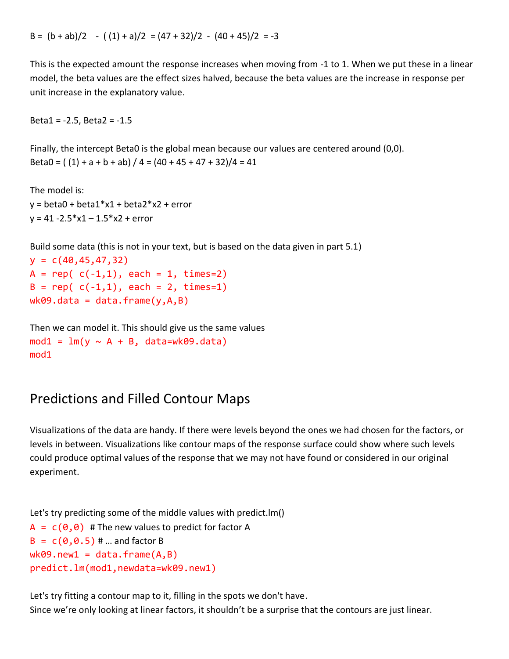This is the expected amount the response increases when moving from -1 to 1. When we put these in a linear model, the beta values are the effect sizes halved, because the beta values are the increase in response per unit increase in the explanatory value.

```
Beta1 = -2.5, Beta2 = -1.5
```
Finally, the intercept Beta0 is the global mean because our values are centered around (0,0). Beta0 =  $( (1) + a + b + ab) / 4 = (40 + 45 + 47 + 32) / 4 = 41$ 

```
The model is:
v = \beta = beta0 + \beta beta1 * x1 + \beta beta2 * x2 + \beta error
y = 41 - 2.5 * x1 - 1.5 * x2 + error
```
Build some data (this is not in your text, but is based on the data given in part 5.1)

```
y = c(40, 45, 47, 32)A = rep( c(-1,1), each = 1, times=2)B = rep( c(-1,1), each = 2, times=1)wk09.data = data-frame(y,A,B)
```

```
Then we can model it. This should give us the same values 
mod1 = lm(y ~ \sim A + B, data = wk09.data)mod1
```
#### Predictions and Filled Contour Maps

Visualizations of the data are handy. If there were levels beyond the ones we had chosen for the factors, or levels in between. Visualizations like contour maps of the response surface could show where such levels could produce optimal values of the response that we may not have found or considered in our original experiment.

Let's try predicting some of the middle values with predict.lm()  $A = c(0,0)$  # The new values to predict for factor A  $B = c(0, 0.5)$  # ... and factor B  $wk09.next = data-frame(A, B)$ predict.lm(mod1,newdata=wk09.new1)

Let's try fitting a contour map to it, filling in the spots we don't have. Since we're only looking at linear factors, it shouldn't be a surprise that the contours are just linear.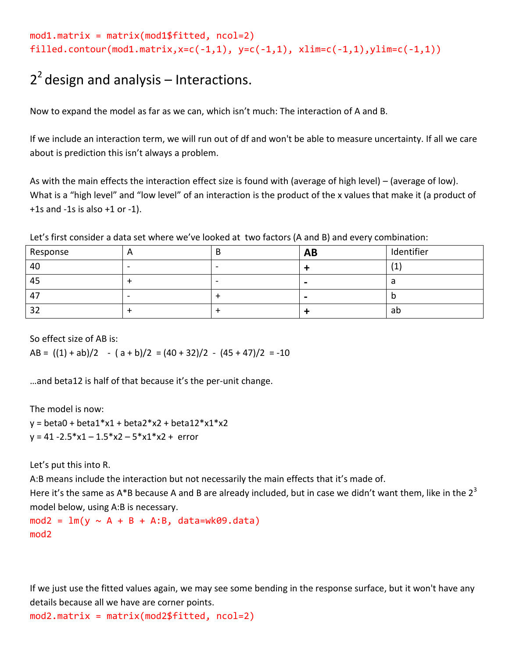```
mod1.matrix = matrix(mod1$fitted, ncol=2)filled.contour(mod1.matrix,x=c(-1,1), y=c(-1,1), xlim=c(-1,1), ylim=c(-1,1))
```
## $2<sup>2</sup>$  design and analysis – Interactions.

Now to expand the model as far as we can, which isn't much: The interaction of A and B.

If we include an interaction term, we will run out of df and won't be able to measure uncertainty. If all we care about is prediction this isn't always a problem.

As with the main effects the interaction effect size is found with (average of high level) – (average of low). What is a "high level" and "low level" of an interaction is the product of the x values that make it (a product of  $+1s$  and  $-1s$  is also  $+1$  or  $-1$ ).

Let's first consider a data set where we've looked at two factors (A and B) and every combination:

| Response    |   | <b>AB</b> | Identifier |
|-------------|---|-----------|------------|
| 40          |   |           | 14<br>ιT   |
| 45          | - |           |            |
| $4^{\circ}$ |   |           | IJ         |
| つつ          |   |           | ab         |

So effect size of AB is:

AB =  $((1) + ab)/2$  -  $(a + b)/2$  =  $(40 + 32)/2$  -  $(45 + 47)/2$  = -10

…and beta12 is half of that because it's the per-unit change.

The model is now:

 $y = \text{beta}0 + \text{beta}1*x1 + \text{beta}2*x2 + \text{beta}12*x1*x2$  $y = 41 - 2.5 * x1 - 1.5 * x2 - 5 * x1 * x2 + error$ 

Let's put this into R.

A:B means include the interaction but not necessarily the main effects that it's made of.

Here it's the same as A\*B because A and B are already included, but in case we didn't want them, like in the  $2^3$ model below, using A:B is necessary.

```
mod2 = lm(y ~ \sim A + B + A:B, data=wk09.data)mod2
```
If we just use the fitted values again, we may see some bending in the response surface, but it won't have any details because all we have are corner points.

 $mod2.matrix = matrix(mod2$fitted, ncol=2)$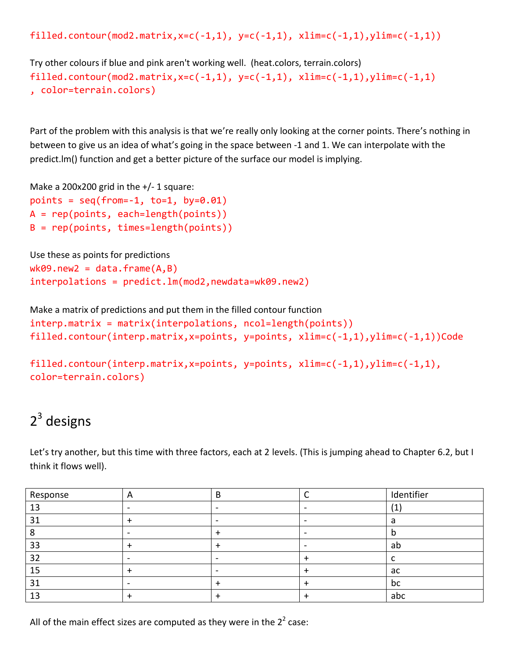filled.contour(mod2.matrix,x=c(-1,1), y=c(-1,1), xlim=c(-1,1), ylim=c(-1,1))

Try other colours if blue and pink aren't working well. (heat.colors, terrain.colors) filled.contour(mod2.matrix,x=c(-1,1), y=c(-1,1), xlim=c(-1,1),ylim=c(-1,1) , color=terrain.colors)

Part of the problem with this analysis is that we're really only looking at the corner points. There's nothing in between to give us an idea of what's going in the space between -1 and 1. We can interpolate with the predict.lm() function and get a better picture of the surface our model is implying.

Make a 200x200 grid in the  $+/- 1$  square:

```
points = seq(from=-1, to=1, by=0.01)A = rep(points, each=length(points))
B = rep(points, times = length(points))
```

```
Use these as points for predictions
wk09.new2 = data-frame(A,B)interpolations = predict.lm(mod2,newdata=wk09.new2)
```

```
Make a matrix of predictions and put them in the filled contour function
interp.matrix = matrix(interpolations, ncol=length(points))
filled.contour(interp.matrix,x=points, y=points, xlim=c(-1,1),ylim=c(-1,1))Code
```

```
filled.contour(interp.matrix,x=points, y=points, xlim=c(-1,1),ylim=c(-1,1), 
color=terrain.colors)
```
## $2^3$  designs

Let's try another, but this time with three factors, each at 2 levels. (This is jumping ahead to Chapter 6.2, but I think it flows well).

| Response | $\mathsf{m}$ | В | Identifier |  |
|----------|--------------|---|------------|--|
| 13       |              |   | (1)        |  |
| 31       |              |   |            |  |
|          |              |   |            |  |
| 33       |              |   | ab         |  |
| 32       |              | - |            |  |
| 15       |              |   | ac         |  |
| 31       |              |   | bc         |  |
| 13       |              |   | abc        |  |

All of the main effect sizes are computed as they were in the  $2^2$  case: